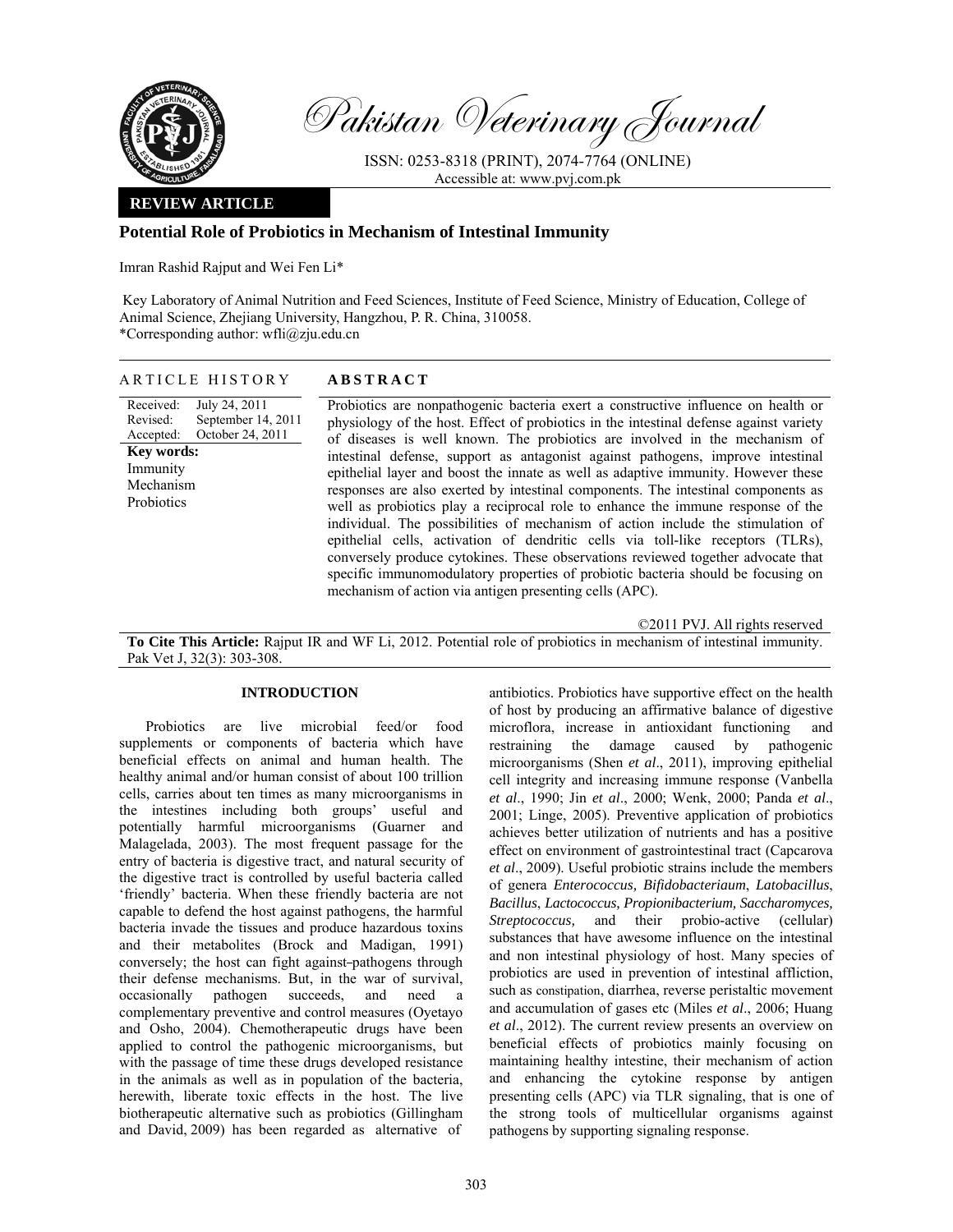

Pakistan Veterinary Journal

ISSN: 0253-8318 (PRINT), 2074-7764 (ONLINE) Accessible at: www.pvj.com.pk

## **REVIEW ARTICLE**

## **Potential Role of Probiotics in Mechanism of Intestinal Immunity**

Imran Rashid Rajput and Wei Fen Li\*

 Key Laboratory of Animal Nutrition and Feed Sciences, Institute of Feed Science, Ministry of Education, College of Animal Science, Zhejiang University, Hangzhou, P. R. China, 310058. \*Corresponding author: wfli@zju.edu.cn

|  | ARTICLE HISTORY | <b>ABSTRACT</b> |
|--|-----------------|-----------------|
|--|-----------------|-----------------|

Received: Revised: Accepted: July 24, 2011 September 14, 2011 October 24, 2011 **Key words:**  Immunity Mechanism **Probiotics** 

Probiotics are nonpathogenic bacteria exert a constructive influence on health or physiology of the host. Effect of probiotics in the intestinal defense against variety of diseases is well known. The probiotics are involved in the mechanism of intestinal defense, support as antagonist against pathogens, improve intestinal epithelial layer and boost the innate as well as adaptive immunity. However these responses are also exerted by intestinal components. The intestinal components as well as probiotics play a reciprocal role to enhance the immune response of the individual. The possibilities of mechanism of action include the stimulation of epithelial cells, activation of dendritic cells via toll-like receptors (TLRs), conversely produce cytokines. These observations reviewed together advocate that specific immunomodulatory properties of probiotic bacteria should be focusing on mechanism of action via antigen presenting cells (APC).

©2011 PVJ. All rights reserved

**To Cite This Article:** Rajput IR and WF Li, 2012. Potential role of probiotics in mechanism of intestinal immunity. Pak Vet J, 32(3): 303-308.

## **INTRODUCTION**

Probiotics are live microbial feed/or food supplements or components of bacteria which have beneficial effects on animal and human health. The healthy animal and/or human consist of about 100 trillion cells, carries about ten times as many microorganisms in the intestines including both groups' useful and potentially harmful microorganisms (Guarner and Malagelada, 2003). The most frequent passage for the entry of bacteria is digestive tract, and natural security of the digestive tract is controlled by useful bacteria called 'friendly' bacteria. When these friendly bacteria are not capable to defend the host against pathogens, the harmful bacteria invade the tissues and produce hazardous toxins and their metabolites (Brock and Madigan, 1991) conversely; the host can fight against pathogens through their defense mechanisms. But, in the war of survival, occasionally pathogen succeeds, and need a complementary preventive and control measures (Oyetayo and Osho, 2004). Chemotherapeutic drugs have been applied to control the pathogenic microorganisms, but with the passage of time these drugs developed resistance in the animals as well as in population of the bacteria, herewith, liberate toxic effects in the host. The live biotherapeutic alternative such as probiotics (Gillingham and David, 2009) has been regarded as alternative of

antibiotics. Probiotics have supportive effect on the health of host by producing an affirmative balance of digestive microflora, increase in antioxidant functioning and restraining the damage caused by pathogenic microorganisms (Shen *et al*., 2011), improving epithelial cell integrity and increasing immune response (Vanbella *et al*., 1990; Jin *et al*., 2000; Wenk, 2000; Panda *et al*., 2001; Linge, 2005). Preventive application of probiotics achieves better utilization of nutrients and has a positive effect on environment of gastrointestinal tract (Capcarova *et al*., 2009). Useful probiotic strains include the members of genera *Enterococcus, Bifidobacteriaum*, *Latobacillus*, *Bacillus*, *Lactococcus, Propionibacterium, Saccharomyces, Streptococcus,* and their probio-active (cellular) substances that have awesome influence on the intestinal and non intestinal physiology of host. Many species of probiotics are used in prevention of intestinal affliction, such as constipation, diarrhea, reverse peristaltic movement and accumulation of gases etc (Miles *et al*., 2006; Huang *et al*., 2012). The current review presents an overview on beneficial effects of probiotics mainly focusing on maintaining healthy intestine, their mechanism of action and enhancing the cytokine response by antigen presenting cells (APC) via TLR signaling, that is one of the strong tools of multicellular organisms against pathogens by supporting signaling response.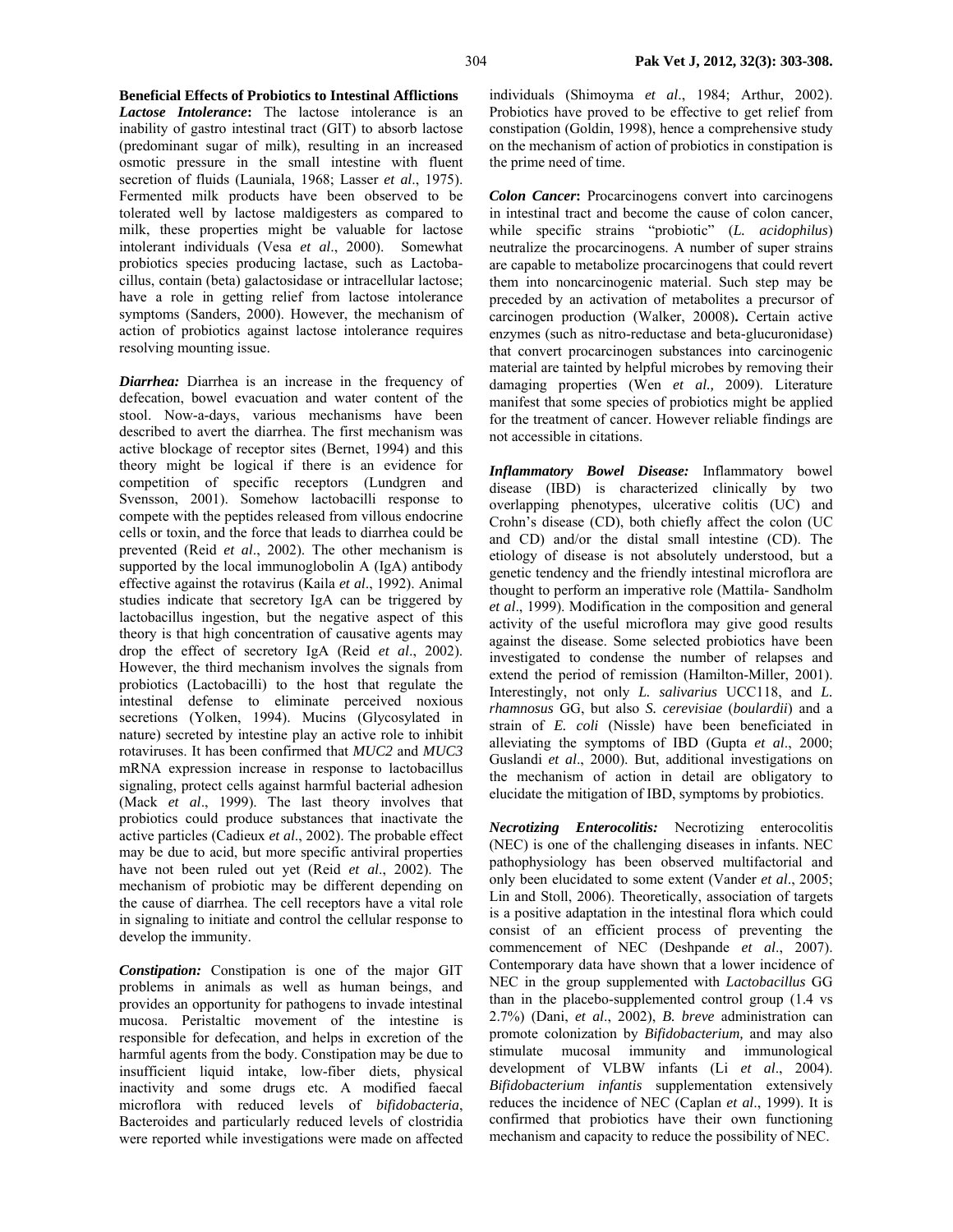**Beneficial Effects of Probiotics to Intestinal Afflictions**  *Lactose Intolerance***:** The lactose intolerance is an inability of gastro intestinal tract (GIT) to absorb lactose (predominant sugar of milk), resulting in an increased osmotic pressure in the small intestine with fluent secretion of fluids (Launiala, 1968; Lasser *et al*., 1975). Fermented milk products have been observed to be tolerated well by lactose maldigesters as compared to milk, these properties might be valuable for lactose intolerant individuals (Vesa *et al*., 2000). Somewhat probiotics species producing lactase, such as Lactobacillus, contain (beta) galactosidase or intracellular lactose; have a role in getting relief from lactose intolerance symptoms (Sanders, 2000). However, the mechanism of action of probiotics against lactose intolerance requires resolving mounting issue.

*Diarrhea:* Diarrhea is an increase in the frequency of defecation, bowel evacuation and water content of the stool. Now-a-days, various mechanisms have been described to avert the diarrhea. The first mechanism was active blockage of receptor sites (Bernet, 1994) and this theory might be logical if there is an evidence for competition of specific receptors (Lundgren and Svensson, 2001). Somehow lactobacilli response to compete with the peptides released from villous endocrine cells or toxin, and the force that leads to diarrhea could be prevented (Reid *et al*., 2002). The other mechanism is supported by the local immunoglobolin A (IgA) antibody effective against the rotavirus (Kaila *et al*., 1992). Animal studies indicate that secretory IgA can be triggered by lactobacillus ingestion, but the negative aspect of this theory is that high concentration of causative agents may drop the effect of secretory IgA (Reid *et al*., 2002). However, the third mechanism involves the signals from probiotics (Lactobacilli) to the host that regulate the intestinal defense to eliminate perceived noxious secretions (Yolken, 1994). Mucins (Glycosylated in nature) secreted by intestine play an active role to inhibit rotaviruses. It has been confirmed that *MUC2* and *MUC3*  mRNA expression increase in response to lactobacillus signaling, protect cells against harmful bacterial adhesion (Mack *et al*., 1999). The last theory involves that probiotics could produce substances that inactivate the active particles (Cadieux *et al*., 2002). The probable effect may be due to acid, but more specific antiviral properties have not been ruled out yet (Reid *et al*., 2002). The mechanism of probiotic may be different depending on the cause of diarrhea. The cell receptors have a vital role in signaling to initiate and control the cellular response to develop the immunity.

*Constipation:* Constipation is one of the major GIT problems in animals as well as human beings, and provides an opportunity for pathogens to invade intestinal mucosa. Peristaltic movement of the intestine is responsible for defecation, and helps in excretion of the harmful agents from the body. Constipation may be due to insufficient liquid intake, low-fiber diets, physical inactivity and some drugs etc. A modified faecal microflora with reduced levels of *bifidobacteria*, Bacteroides and particularly reduced levels of clostridia were reported while investigations were made on affected individuals (Shimoyma *et al*., 1984; Arthur, 2002). Probiotics have proved to be effective to get relief from constipation (Goldin, 1998), hence a comprehensive study on the mechanism of action of probiotics in constipation is the prime need of time.

*Colon Cancer***:** Procarcinogens convert into carcinogens in intestinal tract and become the cause of colon cancer, while specific strains "probiotic" (*L. acidophilus*) neutralize the procarcinogens. A number of super strains are capable to metabolize procarcinogens that could revert them into noncarcinogenic material. Such step may be preceded by an activation of metabolites a precursor of carcinogen production (Walker, 20008)**.** Certain active enzymes (such as nitro-reductase and beta-glucuronidase) that convert procarcinogen substances into carcinogenic material are tainted by helpful microbes by removing their damaging properties (Wen *et al.,* 2009). Literature manifest that some species of probiotics might be applied for the treatment of cancer. However reliable findings are not accessible in citations.

*Inflammatory Bowel Disease:* Inflammatory bowel disease (IBD) is characterized clinically by two overlapping phenotypes, ulcerative colitis (UC) and Crohn's disease (CD), both chiefly affect the colon (UC and CD) and/or the distal small intestine (CD). The etiology of disease is not absolutely understood, but a genetic tendency and the friendly intestinal microflora are thought to perform an imperative role (Mattila- Sandholm *et al*., 1999). Modification in the composition and general activity of the useful microflora may give good results against the disease. Some selected probiotics have been investigated to condense the number of relapses and extend the period of remission (Hamilton-Miller, 2001). Interestingly, not only *L. salivarius* UCC118, and *L. rhamnosus* GG, but also *S. cerevisiae* (*boulardii*) and a strain of *E. coli* (Nissle) have been beneficiated in alleviating the symptoms of IBD (Gupta *et al*., 2000; Guslandi *et al*., 2000). But, additional investigations on the mechanism of action in detail are obligatory to elucidate the mitigation of IBD, symptoms by probiotics.

*Necrotizing Enterocolitis:* Necrotizing enterocolitis (NEC) is one of the challenging diseases in infants. NEC pathophysiology has been observed multifactorial and only been elucidated to some extent (Vander *et al*., 2005; Lin and Stoll, 2006). Theoretically, association of targets is a positive adaptation in the intestinal flora which could consist of an efficient process of preventing the commencement of NEC (Deshpande *et al*., 2007). Contemporary data have shown that a lower incidence of NEC in the group supplemented with *Lactobacillus* GG than in the placebo-supplemented control group (1.4 vs 2.7%) (Dani, *et al*., 2002), *B. breve* administration can promote colonization by *Bifidobacterium,* and may also stimulate mucosal immunity and immunological development of VLBW infants (Li *et al*., 2004). *Bifidobacterium infantis* supplementation extensively reduces the incidence of NEC (Caplan *et al*., 1999). It is confirmed that probiotics have their own functioning mechanism and capacity to reduce the possibility of NEC.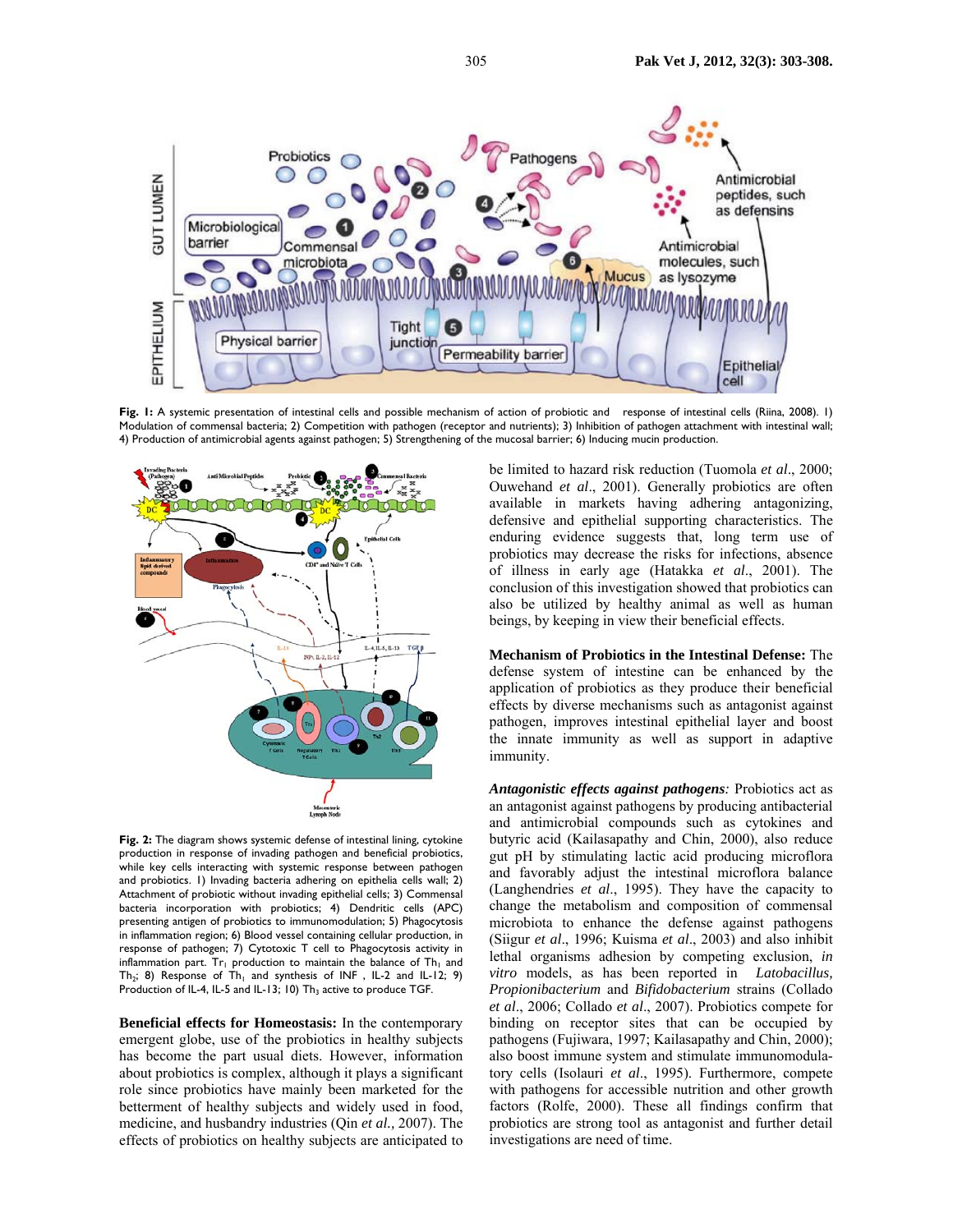

**Fig. 1:** A systemic presentation of intestinal cells and possible mechanism of action of probiotic and response of intestinal cells (Riina, 2008). 1) Modulation of commensal bacteria; 2) Competition with pathogen (receptor and nutrients); 3) Inhibition of pathogen attachment with intestinal wall; 4) Production of antimicrobial agents against pathogen; 5) Strengthening of the mucosal barrier; 6) Inducing mucin production.



**Fig. 2:** The diagram shows systemic defense of intestinal lining, cytokine production in response of invading pathogen and beneficial probiotics, while key cells interacting with systemic response between pathogen and probiotics. 1) Invading bacteria adhering on epithelia cells wall; 2) Attachment of probiotic without invading epithelial cells; 3) Commensal bacteria incorporation with probiotics; 4) Dendritic cells (APC) presenting antigen of probiotics to immunomodulation; 5) Phagocytosis in inflammation region; 6) Blood vessel containing cellular production, in response of pathogen; 7) Cytotoxic T cell to Phagocytosis activity in inflammation part. Tr<sub>1</sub> production to maintain the balance of Th<sub>1</sub> and Th<sub>2</sub>; 8) Response of Th<sub>1</sub> and synthesis of INF, IL-2 and IL-12; 9) Production of IL-4, IL-5 and IL-13; 10)  $Th_3$  active to produce TGF.

**Beneficial effects for Homeostasis:** In the contemporary emergent globe, use of the probiotics in healthy subjects has become the part usual diets. However, information about probiotics is complex, although it plays a significant role since probiotics have mainly been marketed for the betterment of healthy subjects and widely used in food, medicine, and husbandry industries (Qin *et al.,* 2007). The effects of probiotics on healthy subjects are anticipated to

be limited to hazard risk reduction (Tuomola *et al*., 2000; Ouwehand *et al*., 2001). Generally probiotics are often available in markets having adhering antagonizing, defensive and epithelial supporting characteristics. The enduring evidence suggests that, long term use of probiotics may decrease the risks for infections, absence of illness in early age (Hatakka *et al*., 2001). The conclusion of this investigation showed that probiotics can also be utilized by healthy animal as well as human beings, by keeping in view their beneficial effects.

**Mechanism of Probiotics in the Intestinal Defense:** The defense system of intestine can be enhanced by the application of probiotics as they produce their beneficial effects by diverse mechanisms such as antagonist against pathogen, improves intestinal epithelial layer and boost the innate immunity as well as support in adaptive immunity.

*Antagonistic effects against pathogens:* Probiotics act as an antagonist against pathogens by producing antibacterial and antimicrobial compounds such as cytokines and butyric acid (Kailasapathy and Chin, 2000), also reduce gut pH by stimulating lactic acid producing microflora and favorably adjust the intestinal microflora balance (Langhendries *et al*., 1995). They have the capacity to change the metabolism and composition of commensal microbiota to enhance the defense against pathogens (Siigur *et al*., 1996; Kuisma *et al*., 2003) and also inhibit lethal organisms adhesion by competing exclusion, *in vitro* models, as has been reported in *Latobacillus, Propionibacterium* and *Bifidobacterium* strains (Collado *et al*., 2006; Collado *et al*., 2007). Probiotics compete for binding on receptor sites that can be occupied by pathogens (Fujiwara, 1997; Kailasapathy and Chin, 2000); also boost immune system and stimulate immunomodulatory cells (Isolauri *et al*., 1995). Furthermore, compete with pathogens for accessible nutrition and other growth factors (Rolfe, 2000). These all findings confirm that probiotics are strong tool as antagonist and further detail investigations are need of time.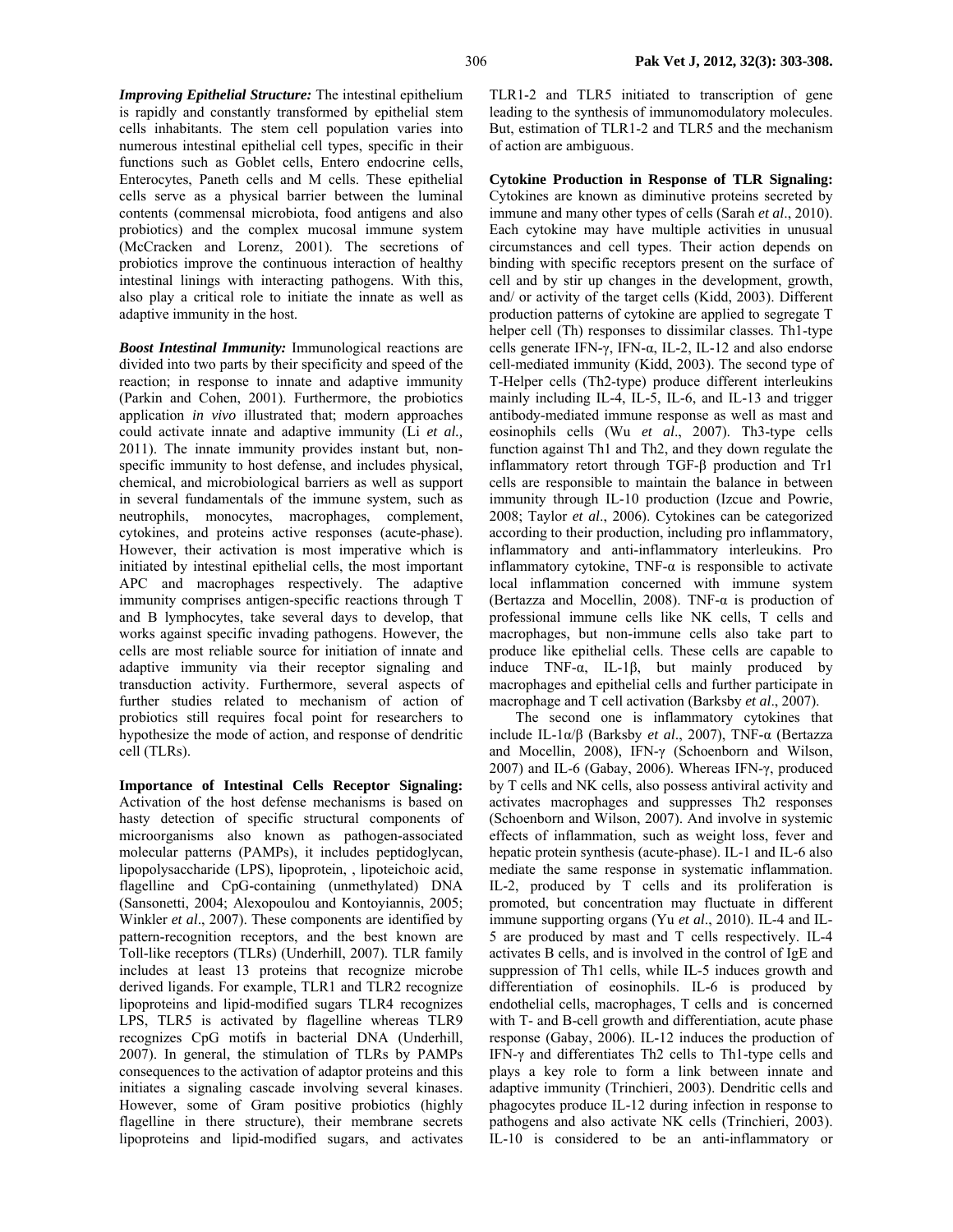*Improving Epithelial Structure:* The intestinal epithelium is rapidly and constantly transformed by epithelial stem cells inhabitants. The stem cell population varies into numerous intestinal epithelial cell types, specific in their functions such as Goblet cells, Entero endocrine cells, Enterocytes, Paneth cells and M cells. These epithelial cells serve as a physical barrier between the luminal contents (commensal microbiota, food antigens and also probiotics) and the complex mucosal immune system (McCracken and Lorenz, 2001). The secretions of probiotics improve the continuous interaction of healthy intestinal linings with interacting pathogens. With this, also play a critical role to initiate the innate as well as adaptive immunity in the host.

*Boost Intestinal Immunity:* Immunological reactions are divided into two parts by their specificity and speed of the reaction; in response to innate and adaptive immunity (Parkin and Cohen, 2001). Furthermore, the probiotics application *in vivo* illustrated that; modern approaches could activate innate and adaptive immunity (Li *et al.,* 2011). The innate immunity provides instant but, nonspecific immunity to host defense, and includes physical, chemical, and microbiological barriers as well as support in several fundamentals of the immune system, such as neutrophils, monocytes, macrophages, complement, cytokines, and proteins active responses (acute-phase). However, their activation is most imperative which is initiated by intestinal epithelial cells, the most important APC and macrophages respectively. The adaptive immunity comprises antigen-specific reactions through T and B lymphocytes, take several days to develop, that works against specific invading pathogens. However, the cells are most reliable source for initiation of innate and adaptive immunity via their receptor signaling and transduction activity. Furthermore, several aspects of further studies related to mechanism of action of probiotics still requires focal point for researchers to hypothesize the mode of action, and response of dendritic cell (TLRs).

**Importance of Intestinal Cells Receptor Signaling:**  Activation of the host defense mechanisms is based on hasty detection of specific structural components of microorganisms also known as pathogen-associated molecular patterns (PAMPs), it includes peptidoglycan, lipopolysaccharide (LPS), lipoprotein, , lipoteichoic acid, flagelline and CpG-containing (unmethylated) DNA (Sansonetti, 2004; Alexopoulou and Kontoyiannis, 2005; Winkler *et al*., 2007). These components are identified by pattern-recognition receptors, and the best known are Toll-like receptors (TLRs) (Underhill, 2007). TLR family includes at least 13 proteins that recognize microbe derived ligands. For example, TLR1 and TLR2 recognize lipoproteins and lipid-modified sugars TLR4 recognizes LPS, TLR5 is activated by flagelline whereas TLR9 recognizes CpG motifs in bacterial DNA (Underhill, 2007). In general, the stimulation of TLRs by PAMPs consequences to the activation of adaptor proteins and this initiates a signaling cascade involving several kinases. However, some of Gram positive probiotics (highly flagelline in there structure), their membrane secrets lipoproteins and lipid-modified sugars, and activates

TLR1-2 and TLR5 initiated to transcription of gene leading to the synthesis of immunomodulatory molecules. But, estimation of TLR1-2 and TLR5 and the mechanism of action are ambiguous.

**Cytokine Production in Response of TLR Signaling:**  Cytokines are known as diminutive proteins secreted by immune and many other types of cells (Sarah *et al*., 2010). Each cytokine may have multiple activities in unusual circumstances and cell types. Their action depends on binding with specific receptors present on the surface of cell and by stir up changes in the development, growth, and/ or activity of the target cells (Kidd, 2003). Different production patterns of cytokine are applied to segregate T helper cell (Th) responses to dissimilar classes. Th1-type cells generate IFN-γ, IFN-α, IL-2, IL-12 and also endorse cell-mediated immunity (Kidd, 2003). The second type of T-Helper cells (Th2-type) produce different interleukins mainly including IL-4, IL-5, IL-6, and IL-13 and trigger antibody-mediated immune response as well as mast and eosinophils cells (Wu *et al*., 2007). Th3-type cells function against Th1 and Th2, and they down regulate the inflammatory retort through TGF-β production and Tr1 cells are responsible to maintain the balance in between immunity through IL-10 production (Izcue and Powrie, 2008; Taylor *et al*., 2006). Cytokines can be categorized according to their production, including pro inflammatory, inflammatory and anti-inflammatory interleukins. Pro inflammatory cytokine,  $TNF-\alpha$  is responsible to activate local inflammation concerned with immune system (Bertazza and Mocellin, 2008). TNF-α is production of professional immune cells like NK cells, T cells and macrophages, but non-immune cells also take part to produce like epithelial cells. These cells are capable to induce  $TNF-\alpha$ , IL-1 $\beta$ , but mainly produced by macrophages and epithelial cells and further participate in macrophage and T cell activation (Barksby *et al*., 2007).

The second one is inflammatory cytokines that include IL-1α/β (Barksby *et al*., 2007), TNF-α (Bertazza and Mocellin, 2008), IFN-γ (Schoenborn and Wilson, 2007) and IL-6 (Gabay, 2006). Whereas IFN-γ, produced by T cells and NK cells, also possess antiviral activity and activates macrophages and suppresses Th2 responses (Schoenborn and Wilson, 2007). And involve in systemic effects of inflammation, such as weight loss, fever and hepatic protein synthesis (acute-phase). IL-1 and IL-6 also mediate the same response in systematic inflammation. IL-2, produced by T cells and its proliferation is promoted, but concentration may fluctuate in different immune supporting organs (Yu *et al*., 2010). IL-4 and IL-5 are produced by mast and T cells respectively. IL-4 activates B cells, and is involved in the control of IgE and suppression of Th1 cells, while IL-5 induces growth and differentiation of eosinophils. IL-6 is produced by endothelial cells, macrophages, T cells and is concerned with T- and B-cell growth and differentiation, acute phase response (Gabay, 2006). IL-12 induces the production of IFN-γ and differentiates Th2 cells to Th1-type cells and plays a key role to form a link between innate and adaptive immunity (Trinchieri, 2003). Dendritic cells and phagocytes produce IL-12 during infection in response to pathogens and also activate NK cells (Trinchieri, 2003). IL-10 is considered to be an anti-inflammatory or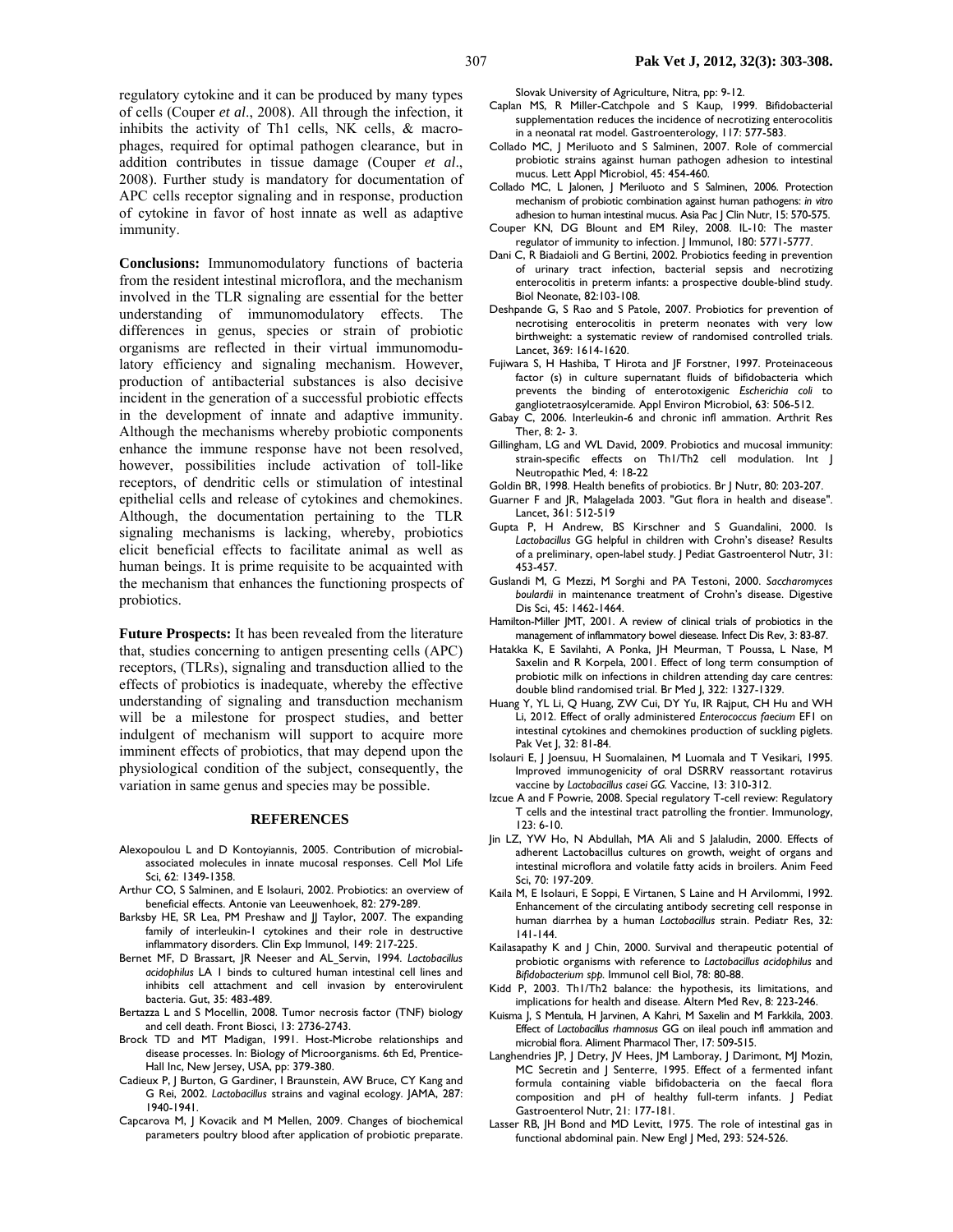regulatory cytokine and it can be produced by many types of cells (Couper *et al*., 2008). All through the infection, it inhibits the activity of Th1 cells, NK cells, & macrophages, required for optimal pathogen clearance, but in addition contributes in tissue damage (Couper *et al*., 2008). Further study is mandatory for documentation of APC cells receptor signaling and in response, production of cytokine in favor of host innate as well as adaptive immunity.

**Conclusions:** Immunomodulatory functions of bacteria from the resident intestinal microflora, and the mechanism involved in the TLR signaling are essential for the better understanding of immunomodulatory effects. The differences in genus, species or strain of probiotic organisms are reflected in their virtual immunomodulatory efficiency and signaling mechanism. However, production of antibacterial substances is also decisive incident in the generation of a successful probiotic effects in the development of innate and adaptive immunity. Although the mechanisms whereby probiotic components enhance the immune response have not been resolved, however, possibilities include activation of toll-like receptors, of dendritic cells or stimulation of intestinal epithelial cells and release of cytokines and chemokines. Although, the documentation pertaining to the TLR signaling mechanisms is lacking, whereby, probiotics elicit beneficial effects to facilitate animal as well as human beings. It is prime requisite to be acquainted with the mechanism that enhances the functioning prospects of probiotics.

**Future Prospects:** It has been revealed from the literature that, studies concerning to antigen presenting cells (APC) receptors, (TLRs), signaling and transduction allied to the effects of probiotics is inadequate, whereby the effective understanding of signaling and transduction mechanism will be a milestone for prospect studies, and better indulgent of mechanism will support to acquire more imminent effects of probiotics, that may depend upon the physiological condition of the subject, consequently, the variation in same genus and species may be possible.

## **REFERENCES**

- Alexopoulou L and D Kontoyiannis, 2005. Contribution of microbialassociated molecules in innate mucosal responses. Cell Mol Life Sci, 62: 1349-1358.
- Arthur CO, S Salminen, and E Isolauri, 2002. Probiotics: an overview of beneficial effects. Antonie van Leeuwenhoek, 82: 279-289.
- Barksby HE, SR Lea, PM Preshaw and JJ Taylor, 2007. The expanding family of interleukin-1 cytokines and their role in destructive inflammatory disorders. Clin Exp Immunol, 149: 217-225.
- Bernet MF, D Brassart, JR Neeser and AL Servin, 1994. *Lactobacillus acidophilus* LA 1 binds to cultured human intestinal cell lines and inhibits cell attachment and cell invasion by enterovirulent bacteria. Gut, 35: 483-489.
- Bertazza L and S Mocellin, 2008. Tumor necrosis factor (TNF) biology and cell death. Front Biosci, 13: 2736-2743.
- Brock TD and MT Madigan, 1991. Host-Microbe relationships and disease processes. In: Biology of Microorganisms. 6th Ed, Prentice-Hall Inc, New Jersey, USA, pp: 379-380.
- Cadieux P, J Burton, G Gardiner, I Braunstein, AW Bruce, CY Kang and G Rei, 2002. *Lactobacillus* strains and vaginal ecology. JAMA, 287: 1940-1941.
- Capcarova M, J Kovacik and M Mellen, 2009. Changes of biochemical parameters poultry blood after application of probiotic preparate.

Slovak University of Agriculture, Nitra, pp: 9-12.

- Caplan MS, R Miller-Catchpole and S Kaup, 1999. Bifidobacterial supplementation reduces the incidence of necrotizing enterocolitis in a neonatal rat model. Gastroenterology, 117: 577-583.
- Collado MC, J Meriluoto and S Salminen, 2007. Role of commercial probiotic strains against human pathogen adhesion to intestinal mucus. Lett Appl Microbiol, 45: 454-460.
- Collado MC, L Jalonen, J Meriluoto and S Salminen, 2006. Protection mechanism of probiotic combination against human pathogens: *in vitro*  adhesion to human intestinal mucus. Asia Pac J Clin Nutr, 15: 570-575.
- Couper KN, DG Blount and EM Riley, 2008. IL-10: The master regulator of immunity to infection. J Immunol, 180: 5771-5777.
- Dani C, R Biadaioli and G Bertini, 2002. Probiotics feeding in prevention of urinary tract infection, bacterial sepsis and necrotizing enterocolitis in preterm infants: a prospective double-blind study. Biol Neonate, 82:103-108.
- Deshpande G, S Rao and S Patole, 2007. Probiotics for prevention of necrotising enterocolitis in preterm neonates with very low birthweight: a systematic review of randomised controlled trials. Lancet, 369: 1614-1620.
- Fujiwara S, H Hashiba, T Hirota and JF Forstner, 1997. Proteinaceous factor (s) in culture supernatant fluids of bifidobacteria which prevents the binding of enterotoxigenic *Escherichia coli* to gangliotetraosylceramide. Appl Environ Microbiol, 63: 506-512.
- Gabay C, 2006. Interleukin-6 and chronic infl ammation. Arthrit Res Ther, 8: 2- 3.
- Gillingham, LG and WL David, 2009. Probiotics and mucosal immunity: strain-specific effects on Th1/Th2 cell modulation. Int J Neutropathic Med, 4: 18-22
- Goldin BR, 1998. Health benefits of probiotics. Br J Nutr, 80: 203-207.
- Guarner F and JR, Malagelada 2003. "Gut flora in health and disease". Lancet, 361: 512-519
- Gupta P, H Andrew, BS Kirschner and S Guandalini, 2000. Is *Lactobacillus* GG helpful in children with Crohn's disease? Results of a preliminary, open-label study. J Pediat Gastroenterol Nutr, 31: 453-457.
- Guslandi M, G Mezzi, M Sorghi and PA Testoni, 2000. *Saccharomyces boulardii* in maintenance treatment of Crohn's disease. Digestive Dis Sci, 45: 1462-1464.
- Hamilton-Miller JMT, 2001. A review of clinical trials of probiotics in the management of inflammatory bowel diesease. Infect Dis Rev, 3: 83-87.
- Hatakka K, E Savilahti, A Ponka, JH Meurman, T Poussa, L Nase, M Saxelin and R Korpela, 2001. Effect of long term consumption of probiotic milk on infections in children attending day care centres: double blind randomised trial. Br Med J, 322: 1327-1329.
- Huang Y, YL Li, Q Huang, ZW Cui, DY Yu, IR Rajput, CH Hu and WH Li, 2012. Effect of orally administered *Enterococcus faecium* EF1 on intestinal cytokines and chemokines production of suckling piglets. Pak Vet J, 32: 81-84.
- Isolauri E, J Joensuu, H Suomalainen, M Luomala and T Vesikari, 1995. Improved immunogenicity of oral DSRRV reassortant rotavirus vaccine by *Lactobacillus casei GG.* Vaccine, 13: 310-312.
- Izcue A and F Powrie, 2008. Special regulatory T-cell review: Regulatory T cells and the intestinal tract patrolling the frontier. Immunology, 123: 6-10.
- Jin LZ, YW Ho, N Abdullah, MA Ali and S Jalaludin, 2000. Effects of adherent Lactobacillus cultures on growth, weight of organs and intestinal microflora and volatile fatty acids in broilers. Anim Feed Sci, 70: 197-209.
- Kaila M, E Isolauri, E Soppi, E Virtanen, S Laine and H Arvilommi, 1992. Enhancement of the circulating antibody secreting cell response in human diarrhea by a human *Lactobacillus* strain. Pediatr Res, 32: 141-144.
- Kailasapathy K and J Chin, 2000. Survival and therapeutic potential of probiotic organisms with reference to *Lactobacillus acidophilus* and *Bifidobacterium spp.* Immunol cell Biol, 78: 80-88.
- Kidd P, 2003. Th1/Th2 balance: the hypothesis, its limitations, and implications for health and disease. Altern Med Rev, 8: 223-246.
- Kuisma J, S Mentula, H Jarvinen, A Kahri, M Saxelin and M Farkkila, 2003. Effect of *Lactobacillus rhamnosus* GG on ileal pouch infl ammation and microbial flora. Aliment Pharmacol Ther, 17: 509-515.
- Langhendries JP, J Detry, JV Hees, JM Lamboray, J Darimont, MJ Mozin, MC Secretin and J Senterre, 1995. Effect of a fermented infant formula containing viable bifidobacteria on the faecal flora composition and pH of healthy full-term infants. J Pediat Gastroenterol Nutr, 21: 177-181.
- Lasser RB, JH Bond and MD Levitt, 1975. The role of intestinal gas in functional abdominal pain. New Engl J Med, 293: 524-526.